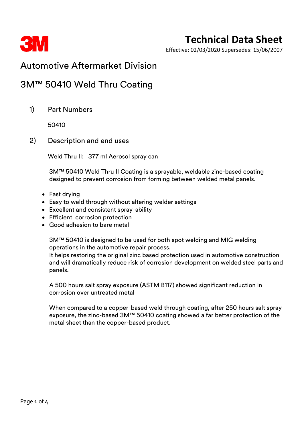

# **Technical Data Sheet**

Effective: 02/03/2020 Supersedes: 15/06/2007

### Automotive Aftermarket Division

### 3M™ 50410 Weld Thru Coating

1) Part Numbers

50410

2) Description and end uses

Weld Thru II: 377 ml Aerosol spray can

3M™ 50410 Weld Thru II Coating is a sprayable, weldable zinc-based coating designed to prevent corrosion from forming between welded metal panels.

- Fast drying
- Easy to weld through without altering welder settings
- Excellent and consistent spray-ability
- Efficient corrosion protection
- Good adhesion to bare metal

3M™ 50410 is designed to be used for both spot welding and MIG welding operations in the automotive repair process.

It helps restoring the original zinc based protection used in automotive construction and will dramatically reduce risk of corrosion development on welded steel parts and panels.

A 500 hours salt spray exposure (ASTM B117) showed significant reduction in corrosion over untreated metal

When compared to a copper-based weld through coating, after 250 hours salt spray exposure, the zinc-based 3M™ 50410 coating showed a far better protection of the metal sheet than the copper-based product.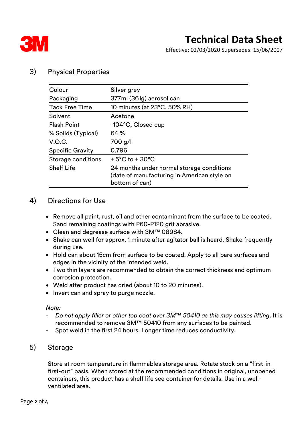

Effective: 02/03/2020 Supersedes: 15/06/2007

#### 3) Physical Properties

| Colour                  | Silver grey                                                                                                |
|-------------------------|------------------------------------------------------------------------------------------------------------|
| Packaging               | 377ml (361g) aerosol can                                                                                   |
| <b>Tack Free Time</b>   | 10 minutes (at 23°C, 50% RH)                                                                               |
| Solvent                 | Acetone                                                                                                    |
| <b>Flash Point</b>      | -104°C, Closed cup                                                                                         |
| % Solids (Typical)      | 64 %                                                                                                       |
| V.O.C.                  | 700 g/l                                                                                                    |
| <b>Specific Gravity</b> | 0.796                                                                                                      |
| Storage conditions      | $+5^{\circ}$ C to $+30^{\circ}$ C                                                                          |
| <b>Shelf Life</b>       | 24 months under normal storage conditions<br>(date of manufacturing in American style on<br>bottom of can) |

#### 4) Directions for Use

- Remove all paint, rust, oil and other contaminant from the surface to be coated. Sand remaining coatings with P60-P120 grit abrasive.
- Clean and degrease surface with 3M™ 08984.
- Shake can well for approx. 1 minute after agitator ball is heard. Shake frequently during use.
- Hold can about 15cm from surface to be coated. Apply to all bare surfaces and edges in the vicinity of the intended weld.
- Two thin layers are recommended to obtain the correct thickness and optimum corrosion protection.
- Weld after product has dried (about 10 to 20 minutes).
- Invert can and spray to purge nozzle.

*Note:*

- *Do not apply filler or other top coat over 3M*™ *50410 as this may causes lifting*. It is recommended to remove 3M™ 50410 from any surfaces to be painted.
- Spot weld in the first 24 hours. Longer time reduces conductivity.
- 5) Storage

Store at room temperature in flammables storage area. Rotate stock on a "first-infirst-out" basis. When stored at the recommended conditions in original, unopened containers, this product has a shelf life see container for details. Use in a wellventilated area.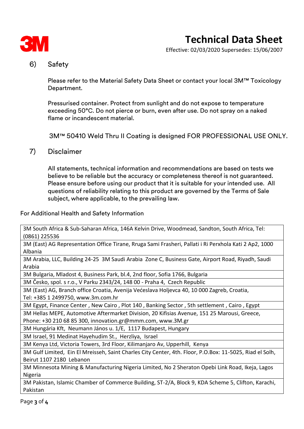

# **Technical Data Sheet**

Effective: 02/03/2020 Supersedes: 15/06/2007

#### 6) Safety

Please refer to the Material Safety Data Sheet or contact your local 3M™ Toxicology Department.

Pressurised container. Protect from sunlight and do not expose to temperature exceeding 50°C. Do not pierce or burn, even after use. Do not spray on a naked flame or incandescent material.

3M™ 50410 Weld Thru II Coating is designed FOR PROFESSIONAL USE ONLY.

7) Disclaimer

All statements, technical information and recommendations are based on tests we believe to be reliable but the accuracy or completeness thereof is not guaranteed. Please ensure before using our product that it is suitable for your intended use. All questions of reliability relating to this product are governed by the Terms of Sale subject, where applicable, to the prevailing law.

For Additional Health and Safety Information

3M South Africa & Sub-Saharan Africa, 146A Kelvin Drive, Woodmead, Sandton, South Africa, Tel: (0861) 225536

3M (East) AG Representation Office Tirane, Rruga Sami Frasheri, Pallati i Ri Perxhola Kati 2 Ap2, 1000 Albania

3M Arabia, LLC, Building 24-25 3M Saudi Arabia Zone C, Business Gate, Airport Road, Riyadh, Saudi Arabia

3M Bulgaria, Mladost 4, Business Park, bl.4, 2nd floor, Sofia 1766, Bulgaria

3M Česko, spol. s r.o., V Parku 2343/24, 148 00 - Praha 4, Czech Republic

3M (East) AG, Branch office Croatia, Avenija Većeslava Holjevca 40, 10 000 Zagreb, Croatia, Tel: +385 1 2499750, www.3m.com.hr

3M Egypt, Finance Center , New Cairo , Plot 140 , Banking Sector , 5th settlement , Cairo , Egypt

3M Hellas MEPE, Automotive Aftermarket Division, 20 Kifisias Avenue, 151 25 Marousi, Greece,

Phone: +30 210 68 85 300, innovation.gr@mmm.com, www.3M.gr

3M Hungária Kft, Neumann János u. 1/E, 1117 Budapest, Hungary

3M Israel, 91 Medinat Hayehudim St., Herzliya, Israel

3M Kenya Ltd, Victoria Towers, 3rd Floor, Kilimanjaro Av, Upperhill, Kenya

3M Gulf Limited, Ein El Mreisseh, Saint Charles City Center, 4th. Floor, P.O.Box: 11-5025, Riad el Solh, Beirut 1107 2180 Lebanon

3M Minnesota Mining & Manufacturing Nigeria Limited, No 2 Sheraton Opebi Link Road, Ikeja, Lagos Nigeria

3M Pakistan, Islamic Chamber of Commerce Building, ST-2/A, Block 9, KDA Scheme 5, Clifton, Karachi, Pakistan